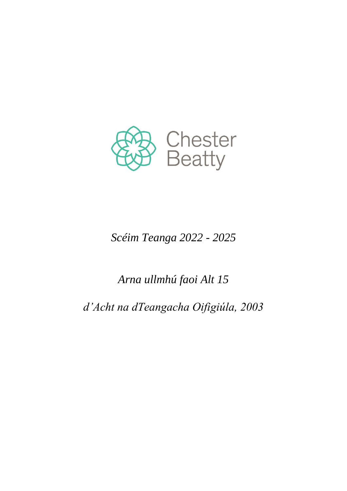

# *Scéim Teanga 2022 - 2025*

# *Arna ullmhú faoi Alt 15*

*d'Acht na dTeangacha Oifigiúla, 2003*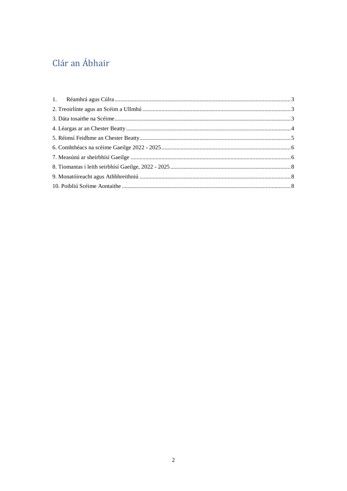# Clár an Ábhair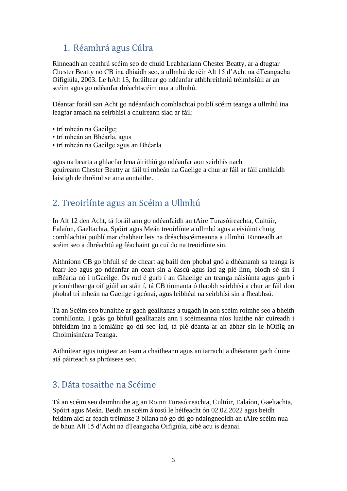## <span id="page-2-0"></span>1. Réamhrá agus Cúlra

Rinneadh an ceathrú scéim seo de chuid Leabharlann Chester Beatty, ar a dtugtar Chester Beatty nó CB ina dhiaidh seo, a ullmhú de réir Alt 15 d'Acht na dTeangacha Oifigiúla, 2003. Le hAlt 15, foráiltear go ndéanfar athbhreithniú tréimhsiúil ar an scéim agus go ndéanfar dréachtscéim nua a ullmhú.

Déantar foráil san Acht go ndéanfaidh comhlachtaí poiblí scéim teanga a ullmhú ina leagfar amach na seirbhísí a chuireann siad ar fáil:

- trí mheán na Gaeilge;
- trí mheán an Bhéarla, agus
- trí mheán na Gaeilge agus an Bhéarla

agus na bearta a ghlacfar lena áirithiú go ndéanfar aon seirbhís nach gcuireann Chester Beatty ar fáil trí mheán na Gaeilge a chur ar fáil ar fáil amhlaidh laistigh de thréimhse ama aontaithe.

## <span id="page-2-1"></span>2. Treoirlínte agus an Scéim a Ullmhú

In Alt 12 den Acht, tá foráil ann go ndéanfaidh an tAire Turasóireachta, Cultúir, Ealaíon, Gaeltachta, Spóirt agus Meán treoirlínte a ullmhú agus a eisiúint chuig comhlachtaí poiblí mar chabhair leis na dréachtscéimeanna a ullmhú. Rinneadh an scéim seo a dhréachtú ag féachaint go cuí do na treoirlínte sin.

Aithníonn CB go bhfuil sé de cheart ag baill den phobal gnó a dhéanamh sa teanga is fearr leo agus go ndéanfar an ceart sin a éascú agus iad ag plé linn, bíodh sé sin i mBéarla nó i nGaeilge. Ós rud é gurb í an Ghaeilge an teanga náisiúnta agus gurb í príomhtheanga oifigiúil an stáit í, tá CB tiomanta ó thaobh seirbhísí a chur ar fáil don phobal trí mheán na Gaeilge i gcónaí, agus leibhéal na seirbhísí sin a fheabhsú.

Tá an Scéim seo bunaithe ar gach gealltanas a tugadh in aon scéim roimhe seo a bheith comhlíonta. I gcás go bhfuil gealltanais ann i scéimeanna níos luaithe nár cuireadh i bhfeidhm ina n-iomláine go dtí seo iad, tá plé déanta ar an ábhar sin le hOifig an Choimisinéara Teanga.

Aithnítear agus tuigtear an t-am a chaitheann agus an iarracht a dhéanann gach duine atá páirteach sa phróiseas seo.

### <span id="page-2-2"></span>3. Dáta tosaithe na Scéime

Tá an scéim seo deimhnithe ag an Roinn Turasóireachta, Cultúir, Ealaíon, Gaeltachta, Spóirt agus Meán. Beidh an scéim á tosú le héifeacht ón 02.02.2022 agus beidh feidhm aici ar feadh tréimhse 3 bliana nó go dtí go ndaingneoidh an tAire scéim nua de bhun Alt 15 d'Acht na dTeangacha Oifigiúla, cibé acu is déanaí.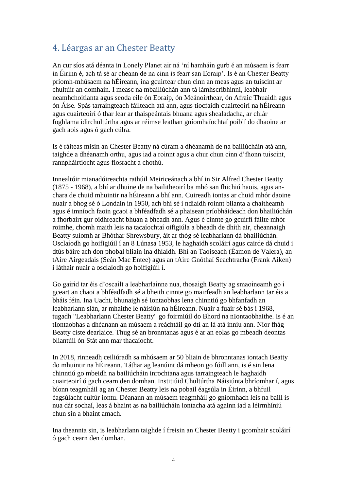### <span id="page-3-0"></span>4. Léargas ar an Chester Beatty

An cur síos atá déanta in Lonely Planet air ná 'ní hamháin gurb é an músaem is fearr in Éirinn é, ach tá sé ar cheann de na cinn is fearr san Eoraip'. Is é an Chester Beatty príomh-mhúsaem na hÉireann, ina gcuirtear chun cinn an meas agus an tuiscint ar chultúir an domhain. I measc na mbailiúchán ann tá lámhscríbhinní, leabhair neamhchoitianta agus seoda eile ón Eoraip, ón Meánoirthear, ón Afraic Thuaidh agus ón Áise. Spás tarraingteach fáilteach atá ann, agus tiocfaidh cuairteoirí na hÉireann agus cuairteoirí ó thar lear ar thaispeántais bhuana agus shealadacha, ar chlár foghlama idirchultúrtha agus ar réimse leathan gníomhaíochtaí poiblí do dhaoine ar gach aois agus ó gach cúlra.

Is é ráiteas misin an Chester Beatty ná cúram a dhéanamh de na bailiúcháin atá ann, taighde a dhéanamh orthu, agus iad a roinnt agus a chur chun cinn d'fhonn tuiscint, rannpháirtíocht agus fiosracht a chothú.

Innealtóir mianadóireachta rathúil Meiriceánach a bhí in Sir Alfred Chester Beatty (1875 - 1968), a bhí ar dhuine de na bailitheoirí ba mhó san fhichiú haois, agus anchara de chuid mhuintir na hÉireann a bhí ann. Cuireadh iontas ar chuid mhór daoine nuair a bhog sé ó Londain in 1950, ach bhí sé i ndiaidh roinnt blianta a chaitheamh agus é imníoch faoin gcaoi a bhféadfadh sé a phaisean príobháideach don bhailiúchán a fhorbairt gur oidhreacht bhuan a bheadh ann. Agus é cinnte go gcuirfí fáilte mhór roimhe, chomh maith leis na tacaíochtaí oifigiúla a bheadh de dhíth air, cheannaigh Beatty suíomh ar Bhóthar Shrewsbury, áit ar thóg sé leabharlann dá bhailiúchán. Osclaíodh go hoifigiúil í an 8 Lúnasa 1953, le haghaidh scoláirí agus cairde dá chuid i dtús báire ach don phobal bliain ina dhiaidh. Bhí an Taoiseach (Éamon de Valera), an tAire Airgeadais (Seán Mac Entee) agus an tAire Gnóthaí Seachtracha (Frank Aiken) i láthair nuair a osclaíodh go hoifigiúil í.

Go gairid tar éis d'oscailt a leabharlainne nua, thosaigh Beatty ag smaoineamh go i gceart an chaoi a bhféadfadh sé a bheith cinnte go mairfeadh an leabharlann tar éis a bháis féin. Ina Uacht, bhunaigh sé Iontaobhas lena chinntiú go bhfanfadh an leabharlann slán, ar mhaithe le náisiún na hÉireann. Nuair a fuair sé bás i 1968, tugadh "Leabharlann Chester Beatty" go foirmiúil do Bhord na nIontaobhaithe. Is é an tIontaobhas a dhéanann an músaem a reáchtáil go dtí an lá atá inniu ann. Níor fhág Beatty ciste dearlaice. Thug sé an bronntanas agus é ar an eolas go mbeadh deontas bliantúil ón Stát ann mar thacaíocht.

In 2018, rinneadh ceiliúradh sa mhúsaem ar 50 bliain de bhronntanas iontach Beatty do mhuintir na hÉireann. Táthar ag leanúint dá mheon go fóill ann, is é sin lena chinntiú go mbeidh na bailiúcháin inrochtana agus tarraingteach le haghaidh cuairteoirí ó gach cearn den domhan. Institiúid Chultúrtha Náisiúnta bhríomhar í, agus bíonn teagmháil ag an Chester Beatty leis na pobail éagsúla in Éirinn, a bhfuil éagsúlacht cultúr iontu. Déanann an músaem teagmháil go gníomhach leis na baill is nua dár sochaí, leas á bhaint as na bailiúcháin iontacha atá againn iad a léirmhíniú chun sin a bhaint amach.

Ina theannta sin, is leabharlann taighde í freisin an Chester Beatty i gcomhair scoláirí ó gach cearn den domhan.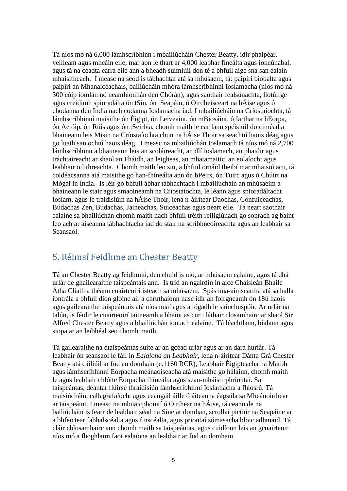Tá níos mó ná 6,000 lámhscríbhinn i mbailiúcháin Chester Beatty, idir pháipéar, veilleam agus mheáin eile, mar aon le thart ar 4,000 leabhar fíneálta agus ioncúnabal, agus tá na céadta earra eile ann a bheadh suimiúil don té a bhfuil aige sna san ealaín mhaisitheach. I measc na seod is tábhachtaí atá sa mhúsaem, tá: paipírí bíobalta agus paipírí an Mhanaicéachais, bailiúcháin mhóra lámhscríbhinní Ioslamacha (níos mó ná 300 cóip iomlán nó neamhiomlán den Chórán), agus saothair fealsúnachta, liotúirge agus creidimh spioradálta ón tSín, ón tSeapáin, ó Oirdheisceart na hÁise agus ó chodanna den India nach codanna Ioslamacha iad. I mbailiúcháin na Críostaíochta, tá lámhscríbhinní maisithe ón Éigipt, ón Leiveaint, ón mBiosáint, ó Iarthar na hEorpa, ón Aetóip, ón Rúis agus ón tSeirbia, chomh maith le cartlann spéisiúil doiciméad a bhaineann leis Misin na Críostaíochta chun na hÁise Thoir sa seachtú haois déag agus go luath san ochtú haois déag. I measc na mbailiúchán Ioslamach tá níos mó ná 2,700 lámhscríbhinn a bhaineann leis an scoláireacht, an dlí Ioslamach, an phaidir agus tráchtaireacht ar shaol an Fháidh, an leigheas, an mhatamaitic, an eolaíocht agus leabhair oilithreachta. Chomh maith leo sin, a bhfuil ornáid theibí mar mhaisiú acu, tá coidéacsanna atá maisithe go han-fhíneálta ann ón bPeirs, ón Tuirc agus ó Chúirt na Mógal in India. Is léir go bhfuil ábhar tábhachtach i mbailiúcháin an mhúsaeim a bhaineann le stair agus smaoineamh na Críostaíochta, le léann agus spioradáltacht Ioslam, agus le traidisiúin na hÁise Thoir, lena n-áirítear Daochas, Confúiceachas, Búdachas Zen, Búdachas, Jaineachas, Suíceachas agus neart eile. Tá neart saothair ealaíne sa bhailiúchán chomh maith nach bhfuil tréith reiligiúnach go sonrach ag baint leo ach ar áiseanna tábhachtacha iad do stair na scríbhneoireachta agus an leabhair sa Seansaol.

### <span id="page-4-0"></span>5. Réimsí Feidhme an Chester Beatty

Tá an Chester Beatty ag feidhmiú, den chuid is mó, ar mhúsaem ealaíne, agus tá dhá urlár de ghailearaithe taispeántais ann. Is tríd an ngairdín in aice Chaisleán Bhaile Átha Cliath a théann cuairteoirí isteach sa mhúsaem. Spás nua-aimseartha atá sa halla iontrála a bhfuil díon gloine air a chruthaíonn nasc idir an foirgneamh ón 18ú haois agus gailearaithe taispeántais atá níos nuaí agus a tógadh le sainchuspóir. Ar urlár na talún, is féidir le cuairteoirí taitneamh a bhaint as cur i láthair closamhairc ar shaol Sir Alfred Chester Beatty agus a bhailiúchán iontach ealaíne. Tá léachtlann, bialann agus siopa ar an leibhéal seo chomh maith.

Tá gailearaithe na dtaispeántas suite ar an gcéad urlár agus ar an dara hurlár. Tá leabhair ón seansaol le fáil in *Ealaíona an Leabhair,* lena n-áirítear Dánta Grá Chester Beatty atá cáiliúil ar fud an domhain (c.1160 RCR), Leabhair Éigipteacha na Marbh agus lámhscríbhinní Eorpacha meánaoiseacha atá maisithe go hálainn, chomh maith le agus leabhair chlóite Eorpacha fhíneálta agus sean-mháistirphriontaí. Sa taispeántas, déantar flúirse thraidisiún lámhscríbhinní Ioslamacha a fhiosrú. Tá maisiúcháin, callagrafaíocht agus ceangail áille ó áiteanna éagsúla sa Mheánoirthear ar taispeáint. I measc na mbuaicphointí ó Oirthear na hÁise, tá ceann de na bailiúcháin is fearr de leabhair séad na Síne ar domhan, scrollaí pictiúr na Seapáine ar a bhfeictear fabhalscéalta agus finscéalta, agus priontaí sómasacha bloic adhmaid. Tá cláir chlosamhairc ann chomh maith sa taispeántas, agus cuidíonn leis an gcuairteoir níos mó a fhoghlaim faoi ealaíona an leabhair ar fud an domhain.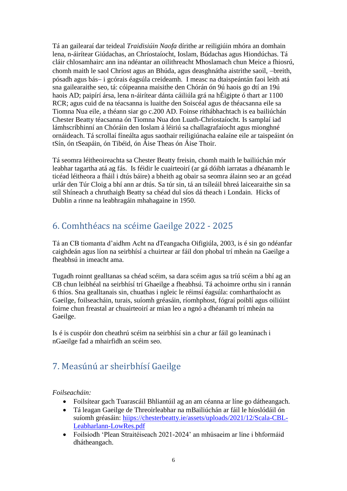Tá an gailearaí dar teideal *Traidisiúin Naofa* dírithe ar reiligiúin mhóra an domhain lena, n-áirítear Giúdachas, an Chríostaíocht, Ioslam, Búdachas agus Hiondúchas. Tá cláir chlosamhairc ann ina ndéantar an oilithreacht Mhoslamach chun Meice a fhiosrú, chomh maith le saol Chríost agus an Bhúda, agus deasghnátha aistrithe saoil, -breith, pósadh agus bás- i gcórais éagsúla creideamh. I measc na dtaispeántán faoi leith atá sna gailearaithe seo, tá: cóipeanna maisithe den Chórán ón 9ú haois go dtí an 19ú haois AD; paipírí ársa, lena n-áirítear dánta cáiliúla grá na hÉigipte ó thart ar 1100 RCR; agus cuid de na téacsanna is luaithe den Soiscéal agus de théacsanna eile sa Tiomna Nua eile, a théann siar go c.200 AD. Foinse ríthábhachtach is ea bailiúchán Chester Beatty téacsanna ón Tiomna Nua don Luath-Chríostaíocht. Is samplaí iad lámhscríbhinní an Chóráin den Ioslam á léiriú sa challagrafaíocht agus mionghné ornáideach. Tá scrollaí fíneálta agus saothair reiligiúnacha ealaíne eile ar taispeáint ón tSín, ón tSeapáin, ón Tibéid, ón Áise Theas ón Áise Thoir.

Tá seomra léitheoireachta sa Chester Beatty freisin, chomh maith le bailiúchán mór leabhar tagartha atá ag fás. Is féidir le cuairteoirí (ar gá dóibh iarratas a dhéanamh le ticéad léitheora a fháil i dtús báire) a bheith ag obair sa seomra álainn seo ar an gcéad urlár den Túr Cloig a bhí ann ar dtús. Sa túr sin, tá an tsíleáil bhreá laicearaithe sin sa stíl Shíneach a chruthaigh Beatty sa chéad dul síos dá theach i Londain. Hicks of Dublin a rinne na leabhragáin mhahagaine in 1950.

# <span id="page-5-0"></span>6. Comhthéacs na scéime Gaeilge 2022 - 2025

Tá an CB tiomanta d'aidhm Acht na dTeangacha Oifigiúla, 2003, is é sin go ndéanfar caighdeán agus líon na seirbhísí a chuirtear ar fáil don phobal trí mheán na Gaeilge a fheabhsú in imeacht ama.

Tugadh roinnt gealltanas sa chéad scéim, sa dara scéim agus sa tríú scéim a bhí ag an CB chun leibhéal na seirbhísí trí Ghaeilge a fheabhsú. Tá achoimre orthu sin i rannán 6 thíos. Sna gealltanais sin, chuathas i ngleic le réimsí éagsúla: comharthaíocht as Gaeilge, foilseacháin, turais, suíomh gréasáin, ríomhphost, fógraí poiblí agus oiliúint foirne chun freastal ar chuairteoirí ar mian leo a ngnó a dhéanamh trí mheán na Gaeilge.

Is é is cuspóir don cheathrú scéim na seirbhísí sin a chur ar fáil go leanúnach i nGaeilge fad a mhairfidh an scéim seo.

## <span id="page-5-1"></span>7. Measúnú ar sheirbhísí Gaeilge

#### *Foilseacháin:*

- Foilsítear gach Tuarascáil Bhliantúil ag an am céanna ar líne go dátheangach.
- Tá leagan Gaeilge de Threoirleabhar na mBailiúchán ar fáil le híoslódáil ón suíomh gréasáin: hiips://chesterbeatty.ie/assets/uploads/2021/12/Scala-CBL-Leabharlann-LowRes.pdf
- Foilsíodh 'Plean Straitéiseach 2021-2024' an mhúsaeim ar líne i bhformáid dhátheangach.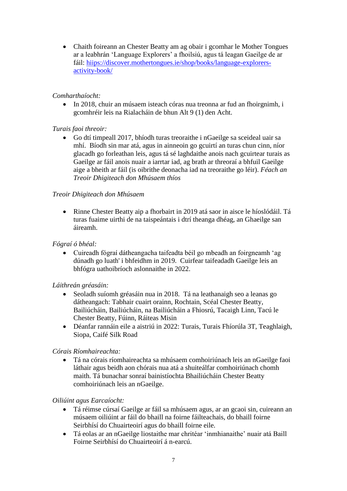• Chaith foireann an Chester Beatty am ag obair i gcomhar le Mother Tongues ar a leabhrán 'Language Explorers' a fhoilsiú, agus tá leagan Gaeilge de ar fáil: hiips://discover.mothertongues.ie/shop/books/language-explorersactivity-book/

#### *Comharthaíocht:*

• In 2018, chuir an músaem isteach córas nua treonna ar fud an fhoirgnimh, i gcomhréir leis na Rialacháin de bhun Alt 9 (1) den Acht.

#### *Turais faoi threoir:*

 Go dtí timpeall 2017, bhíodh turas treoraithe i nGaeilge sa sceideal uair sa mhí. Bíodh sin mar atá, agus in ainneoin go gcuirtí an turas chun cinn, níor glacadh go forleathan leis, agus tá sé laghdaithe anois nach gcuirtear turais as Gaeilge ar fáil anois nuair a iarrtar iad, ag brath ar threoraí a bhfuil Gaeilge aige a bheith ar fáil (is oibrithe deonacha iad na treoraithe go léir). *Féach an Treoir Dhigiteach don Mhúsaem thíos*

#### *Treoir Dhigiteach don Mhúsaem*

 Rinne Chester Beatty aip a fhorbairt in 2019 atá saor in aisce le híoslódáil. Tá turas fuaime uirthi de na taispeántais i dtrí theanga dhéag, an Ghaeilge san áireamh.

#### *Fógraí ó bhéal:*

 Cuireadh fógraí dátheangacha taifeadta béil go mbeadh an foirgneamh 'ag dúnadh go luath' i bhfeidhm in 2019. Cuirfear taifeadadh Gaeilge leis an bhfógra uathoibríoch aslonnaithe in 2022.

#### *Láithreán gréasáin:*

- Seoladh suíomh gréasáin nua in 2018. Tá na leathanaigh seo a leanas go dátheangach: Tabhair cuairt orainn, Rochtain, Scéal Chester Beatty, Bailiúcháin, Bailiúcháin, na Bailiúcháin a Fhiosrú, Tacaigh Linn, Tacú le Chester Beatty, Fúinn, Ráiteas Misin
- Déanfar rannáin eile a aistriú in 2022: Turais, Turais Fhíorúla 3T, Teaghlaigh, Siopa, Caifé Silk Road

#### *Córais Ríomhaireachta:*

 Tá na córais ríomhaireachta sa mhúsaem comhoiriúnach leis an nGaeilge faoi láthair agus beidh aon chórais nua atá a shuiteálfar comhoiriúnach chomh maith. Tá bunachar sonraí bainistíochta Bhailiúcháin Chester Beatty comhoiriúnach leis an nGaeilge.

#### *Oiliúint agus Earcaíocht:*

- Tá réimse cúrsaí Gaeilge ar fáil sa mhúsaem agus, ar an gcaoi sin, cuireann an músaem oiliúint ar fáil do bhaill na foirne fáilteachais, do bhaill foirne Seirbhísí do Chuairteoirí agus do bhaill foirne eile.
- Tá eolas ar an nGaeilge liostaithe mar chritéar 'inmhianaithe' nuair atá Baill Foirne Seirbhísí do Chuairteoirí á n-earcú.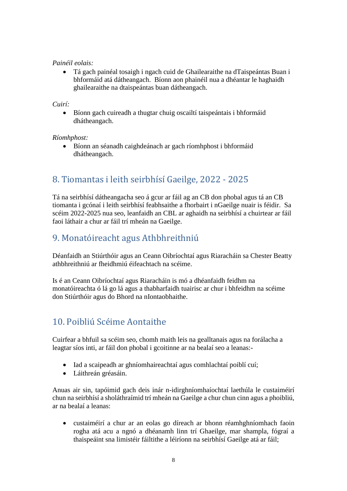#### *Painéil eolais:*

 Tá gach painéal tosaigh i ngach cuid de Ghailearaithe na dTaispeántas Buan i bhformáid atá dátheangach. Bíonn aon phainéil nua a dhéantar le haghaidh ghailearaithe na dtaispeántas buan dátheangach.

#### *Cuirí:*

 Bíonn gach cuireadh a thugtar chuig oscailtí taispeántais i bhformáid dhátheangach.

#### *Ríomhphost:*

 Bíonn an séanadh caighdeánach ar gach ríomhphost i bhformáid dhátheangach.

## <span id="page-7-0"></span>8. Tiomantas i leith seirbhísí Gaeilge, 2022 - 2025

Tá na seirbhísí dátheangacha seo á gcur ar fáil ag an CB don phobal agus tá an CB tiomanta i gcónaí i leith seirbhísí feabhsaithe a fhorbairt i nGaeilge nuair is féidir. Sa scéim 2022-2025 nua seo, leanfaidh an CBL ar aghaidh na seirbhísí a chuirtear ar fáil faoi láthair a chur ar fáil trí mheán na Gaeilge.

## <span id="page-7-1"></span>9. Monatóireacht agus Athbhreithniú

Déanfaidh an Stiúrthóir agus an Ceann Oibríochtaí agus Riaracháin sa Chester Beatty athbhreithniú ar fheidhmiú éifeachtach na scéime.

Is é an Ceann Oibríochtaí agus Riaracháin is mó a dhéanfaidh feidhm na monatóireachta ó lá go lá agus a thabharfaidh tuairisc ar chur i bhfeidhm na scéime don Stiúrthóir agus do Bhord na nIontaobhaithe.

## <span id="page-7-2"></span>10. Poibliú Scéime Aontaithe

Cuirfear a bhfuil sa scéim seo, chomh maith leis na gealltanais agus na forálacha a leagtar síos inti, ar fáil don phobal i gcoitinne ar na bealaí seo a leanas:-

- Iad a scaipeadh ar ghníomhaireachtaí agus comhlachtaí poiblí cuí;
- Láithreán gréasáin.

Anuas air sin, tapóimid gach deis inár n-idirghníomhaíochtaí laethúla le custaiméirí chun na seirbhísí a sholáthraímid trí mheán na Gaeilge a chur chun cinn agus a phoibliú, ar na bealaí a leanas:

 custaiméirí a chur ar an eolas go díreach ar bhonn réamhghníomhach faoin rogha atá acu a ngnó a dhéanamh linn trí Ghaeilge, mar shampla, fógraí a thaispeáint sna limistéir fáiltithe a léiríonn na seirbhísí Gaeilge atá ar fáil;